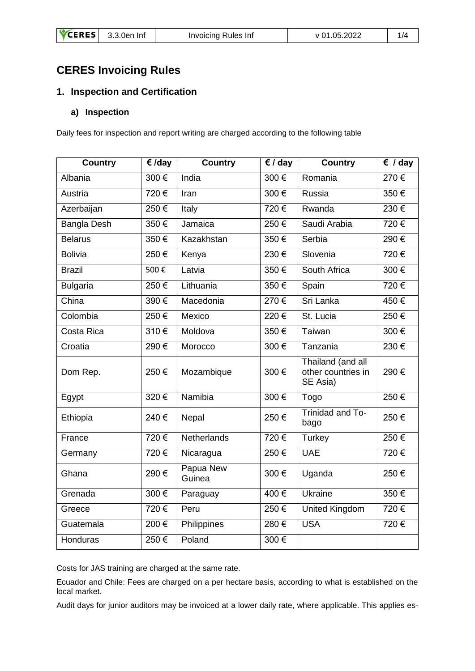# **CERES Invoicing Rules**

## **1. Inspection and Certification**

#### **a) Inspection**

Daily fees for inspection and report writing are charged according to the following table

| <b>Country</b>     | $\epsilon$ /day | <b>Country</b>      | $\epsilon$ / day | <b>Country</b>                                      | $\overline{\epsilon}$ / day |
|--------------------|-----------------|---------------------|------------------|-----------------------------------------------------|-----------------------------|
| Albania            | 300€            | India               | 300€             | Romania                                             | 270€                        |
| Austria            | 720€            | Iran                | 300€             | Russia                                              | 350€                        |
| Azerbaijan         | 250€            | Italy               | 720€             | Rwanda                                              | 230€                        |
| <b>Bangla Desh</b> | 350€            | Jamaica             | 250€             | Saudi Arabia                                        | 720€                        |
| <b>Belarus</b>     | 350€            | Kazakhstan          | 350€             | Serbia                                              | 290€                        |
| <b>Bolivia</b>     | 250€            | Kenya               | 230€             | Slovenia                                            | 720€                        |
| <b>Brazil</b>      | 500€            | Latvia              | 350€             | South Africa                                        | 300€                        |
| <b>Bulgaria</b>    | 250€            | Lithuania           | 350€             | Spain                                               | 720€                        |
| China              | 390€            | Macedonia           | 270€             | Sri Lanka                                           | 450€                        |
| Colombia           | 250€            | Mexico              | 220€             | St. Lucia                                           | 250€                        |
| Costa Rica         | 310€            | Moldova             | 350€             | Taiwan                                              | 300€                        |
| Croatia            | 290 €           | Morocco             | 300€             | Tanzania                                            | 230€                        |
| Dom Rep.           | 250€            | Mozambique          | 300€             | Thailand (and all<br>other countries in<br>SE Asia) | 290€                        |
| Egypt              | $320 \in$       | Namibia             | $300 \in$        | Togo                                                | 250€                        |
| Ethiopia           | 240€            | Nepal               | 250€             | Trinidad and To-<br>bago                            | 250€                        |
| France             | 720€            | <b>Netherlands</b>  | 720€             | Turkey                                              | 250€                        |
| Germany            | 720€            | Nicaragua           | 250€             | <b>UAE</b>                                          | 720€                        |
| Ghana              | 290€            | Papua New<br>Guinea | 300€             | Uganda                                              | 250€                        |
| Grenada            | 300€            | Paraguay            | 400€             | <b>Ukraine</b>                                      | 350€                        |
| Greece             | 720€            | Peru                | 250€             | <b>United Kingdom</b>                               | 720€                        |
| Guatemala          | 200€            | Philippines         | 280€             | <b>USA</b>                                          | 720€                        |
| Honduras           | 250€            | Poland              | 300€             |                                                     |                             |

Costs for JAS training are charged at the same rate.

Ecuador and Chile: Fees are charged on a per hectare basis, according to what is established on the local market.

Audit days for junior auditors may be invoiced at a lower daily rate, where applicable. This applies es-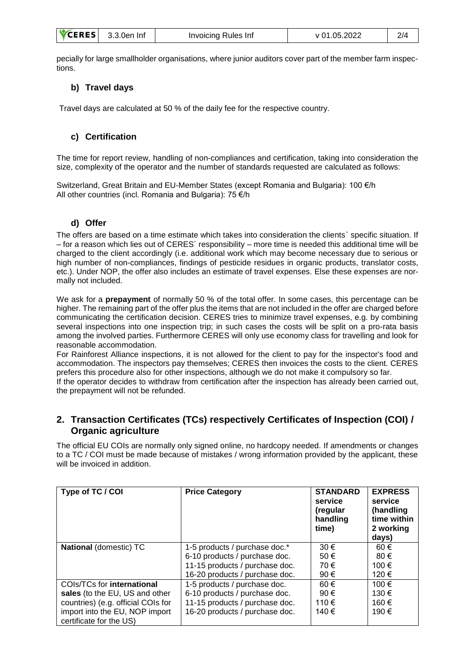| <b>VCERES</b> | 3.3.0en Inf | Invoicing Rules Inf | v 01.05.2022 | 2/4 |
|---------------|-------------|---------------------|--------------|-----|
|---------------|-------------|---------------------|--------------|-----|

pecially for large smallholder organisations, where junior auditors cover part of the member farm inspections.

#### **b) Travel days**

Travel days are calculated at 50 % of the daily fee for the respective country.

#### **c) Certification**

The time for report review, handling of non-compliances and certification, taking into consideration the size, complexity of the operator and the number of standards requested are calculated as follows:

Switzerland, Great Britain and EU-Member States (except Romania and Bulgaria): 100 €/h All other countries (incl. Romania and Bulgaria): 75 €/h

#### **d) Offer**

The offers are based on a time estimate which takes into consideration the clients` specific situation. If – for a reason which lies out of CERES´ responsibility – more time is needed this additional time will be charged to the client accordingly (i.e. additional work which may become necessary due to serious or high number of non-compliances, findings of pesticide residues in organic products, translator costs, etc.). Under NOP, the offer also includes an estimate of travel expenses. Else these expenses are normally not included.

We ask for a **prepayment** of normally 50 % of the total offer. In some cases, this percentage can be higher. The remaining part of the offer plus the items that are not included in the offer are charged before communicating the certification decision. CERES tries to minimize travel expenses, e.g. by combining several inspections into one inspection trip; in such cases the costs will be split on a pro-rata basis among the involved parties. Furthermore CERES will only use economy class for travelling and look for reasonable accommodation.

For Rainforest Alliance inspections, it is not allowed for the client to pay for the inspector's food and accommodation. The inspectors pay themselves; CERES then invoices the costs to the client. CERES prefers this procedure also for other inspections, although we do not make it compulsory so far.

If the operator decides to withdraw from certification after the inspection has already been carried out, the prepayment will not be refunded.

#### **2. Transaction Certificates (TCs) respectively Certificates of Inspection (COI) / Organic agriculture**

The official EU COIs are normally only signed online, no hardcopy needed. If amendments or changes to a TC / COI must be made because of mistakes / wrong information provided by the applicant, these will be invoiced in addition.

| Type of TC / COI                                                                                                                                                | <b>Price Category</b>                                                                                                              | <b>STANDARD</b><br>service<br>(regular<br>handling<br>time) | <b>EXPRESS</b><br>service<br>(handling<br>time within<br>2 working<br>days) |
|-----------------------------------------------------------------------------------------------------------------------------------------------------------------|------------------------------------------------------------------------------------------------------------------------------------|-------------------------------------------------------------|-----------------------------------------------------------------------------|
| National (domestic) TC                                                                                                                                          | 1-5 products / purchase doc.*<br>6-10 products / purchase doc.<br>11-15 products / purchase doc.<br>16-20 products / purchase doc. | $30 \in$<br>50€<br>70€<br>90€                               | 60€<br>80€<br>100 €<br>120 €                                                |
| COIs/TCs for international<br>sales (to the EU, US and other<br>countries) (e.g. official COIs for<br>import into the EU, NOP import<br>certificate for the US) | 1-5 products / purchase doc.<br>6-10 products / purchase doc.<br>11-15 products / purchase doc.<br>16-20 products / purchase doc.  | 60€<br>90€<br>110 €<br>140 €                                | 100 €<br>130 €<br>160 €<br>190 €                                            |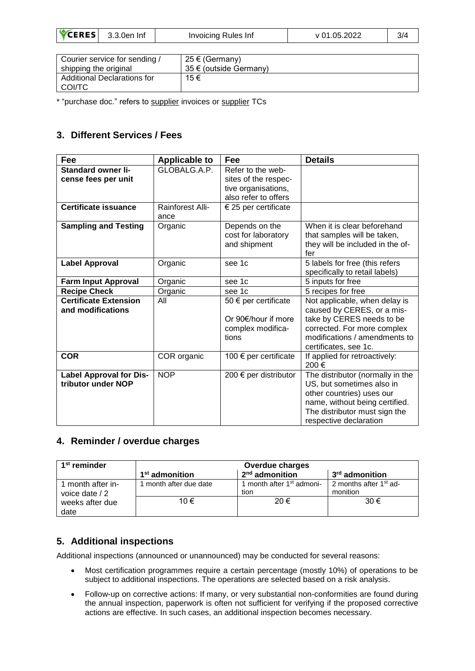| 05.2022<br>3.3.0er<br>Invoicing Rules Inf<br>-Inf<br>. |
|--------------------------------------------------------|
|--------------------------------------------------------|

| Courier service for sending /           | 25 € (Germany)         |
|-----------------------------------------|------------------------|
| shipping the original                   | 35 € (outside Germany) |
| Additional Declarations for<br>I COI/TC | 15€                    |

\* "purchase doc." refers to supplier invoices or supplier TCs

# **3. Different Services / Fees**

| Fee                            | <b>Applicable to</b> | Fee                           | <b>Details</b>                   |
|--------------------------------|----------------------|-------------------------------|----------------------------------|
| <b>Standard owner li-</b>      | GLOBALG.A.P.         | Refer to the web-             |                                  |
| cense fees per unit            |                      | sites of the respec-          |                                  |
|                                |                      | tive organisations,           |                                  |
|                                |                      | also refer to offers          |                                  |
| <b>Certificate issuance</b>    | Rainforest Alli-     | $\epsilon$ 25 per certificate |                                  |
|                                | ance                 |                               |                                  |
| <b>Sampling and Testing</b>    | Organic              | Depends on the                | When it is clear beforehand      |
|                                |                      | cost for laboratory           | that samples will be taken,      |
|                                |                      | and shipment                  | they will be included in the of- |
|                                |                      |                               | fer                              |
| <b>Label Approval</b>          | Organic              | see 1c                        | 5 labels for free (this refers   |
|                                |                      |                               | specifically to retail labels)   |
| <b>Farm Input Approval</b>     | Organic              | see 1c                        | 5 inputs for free                |
| <b>Recipe Check</b>            | Organic              | see 1c                        | 5 recipes for free               |
| <b>Certificate Extension</b>   | All                  | 50 $\epsilon$ per certificate | Not applicable, when delay is    |
| and modifications              |                      |                               | caused by CERES, or a mis-       |
|                                |                      | Or 90€/hour if more           | take by CERES needs to be        |
|                                |                      | complex modifica-             | corrected. For more complex      |
|                                |                      | tions                         | modifications / amendments to    |
|                                |                      |                               | certificates, see 1c.            |
| <b>COR</b>                     | COR organic          | 100 € per certificate         | If applied for retroactively:    |
|                                |                      |                               | 200€                             |
| <b>Label Approval for Dis-</b> | <b>NOP</b>           | 200 € per distributor         | The distributor (normally in the |
| tributor under NOP             |                      |                               | US, but sometimes also in        |
|                                |                      |                               | other countries) uses our        |
|                                |                      |                               | name, without being certified.   |
|                                |                      |                               | The distributor must sign the    |
|                                |                      |                               | respective declaration           |

## **4. Reminder / overdue charges**

| 1 <sup>st</sup> reminder            | <b>Overdue charges</b>     |                                               |                                                |  |
|-------------------------------------|----------------------------|-----------------------------------------------|------------------------------------------------|--|
|                                     | 1 <sup>st</sup> admonition | $2nd$ admonition                              | 3 <sup>rd</sup> admonition                     |  |
| 1 month after in-<br>voice date / 2 | month after due date       | 1 month after 1 <sup>st</sup> admoni-<br>tion | 2 months after 1 <sup>st</sup> ad-<br>monition |  |
| weeks after due<br>date             | 10 €                       | 20€                                           | 30€                                            |  |

## **5. Additional inspections**

Additional inspections (announced or unannounced) may be conducted for several reasons:

- Most certification programmes require a certain percentage (mostly 10%) of operations to be subject to additional inspections. The operations are selected based on a risk analysis.
- Follow-up on corrective actions: If many, or very substantial non-conformities are found during the annual inspection, paperwork is often not sufficient for verifying if the proposed corrective actions are effective. In such cases, an additional inspection becomes necessary.